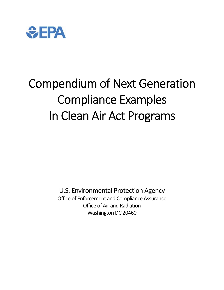

# Compendium of Next Generation Compliance Examples In Clean Air Act Programs

 U.S. Environmental Protection Agency Office of Enforcement and Compliance Assurance Office of Air and Radiation Washington DC 20460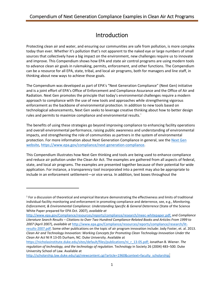# Introduction

 Protecting clean air and water, and ensuring our communities are safe from pollution, is more complex today than ever. Whether it's pollution that's not apparent to the naked eye or large numbers of small sources that collectively have a big impact on the environment, new challenges require us to innovate and improve. This Compendium shows how EPA and state air control programs are using modern tools to advance clean air goals in rulemaking, permits, enforcement, and other functions. The Compendium can be a resource for all EPA, state, tribal, and local air programs, both for managers and line staff, in thinking about new ways to achieve those goals.

 The Compendium was developed as part of EPA's "Next Generation Compliance" (Next Gen) initiative and is a joint effort of EPA's Office of Enforcement and Compliance Assurance and the Office of Air and Radiation. Next Gen promotes the principle that today's environmental challenges require a modern approach to compliance with the use of new tools and approaches while strengthening vigorous enforcement as the backbone of environmental protection. In addition to new tools based on technological advancements, Next Gen seeks to leverage creative thinking about how to better design rules and permits to maximize compliance and environmental results.<sup>1</sup>

 The benefits of using these strategies go beyond improving compliance to enhancing facility operations and overall environmental performance, raising public awareness and understanding of environmental impacts, and strengthening the role of communities as partners in the system of environmental protection. For more information about Next Generation Compliance in general, see the Next Gen website, https://www.epa.gov/compliance/next-generation-compliance.

 This Compendium illustrates how Next Gen thinking and tools are being used to enhance compliance and reduce air pollution under the Clean Air Act. The examples are gathered from all aspects of federal, state, and local air programs. The examples are presented together because of their potential for wide application. For instance, a transparency tool incorporated into a permit may also be appropriate to include in an enforcement settlement—or vice versa. In addition, text boxes throughout the

 http://www.epa.gov/Compliance/resources/reports/compliance/research/meec‐whitepaper.pdf; and *Compliance* Literature Search Results – Citations to Over Two Hundred Compliance-Related Books and Articles From 1999 to *2007* (April 2007), *available at* http://www.epa.gov/Compliance/resources/reports/compliance/research/lit‐ results‐2007.pdf. Some other publications on the topic of air program innovation include: Jody Foster, et. al. 2013. Clean Air and Technology Innovation: Working Concepts for Promoting Clean Technology Innovation Under the  *Clean Air Act* NI R 13‐05 Durham, NC: Duke University. Available at

 https://nicholasinstitute.duke.edu/sites/default/files/publications/ni\_r\_13‐05.pdf; Jonathan B. Wiener. *The regulation of technology, and the technology of regulation.* Technology in Society 26 (2004) 483–500. Duke University School of Law. Available at

http://scholarship.law.duke.edu/cgi/viewcontent.cgi?article=1960&context=faculty\_scholarship.

 $1$  For a discussion of theoretical and empirical literature demonstrating the effectiveness and limits of traditional individual‐facility monitoring and enforcement in promoting compliance and deterrence, see, e.g., *Monitoring, Enforcement, & Environmental Compliance: Understanding Specific & General Deterrence* (State of the Science White Paper prepared for EPA Oct. 2007), *available at*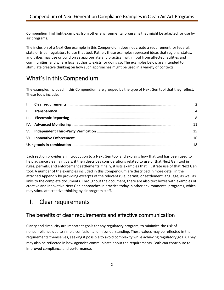Compendium highlight examples from other environmental programs that might be adapted for use by air programs.

 The inclusion of a Next Gen example in this Compendium does not create a requirement for federal, state or tribal regulators to use that tool. Rather, these examples represent ideas that regions, states, and tribes may use or build on as appropriate and practical, with input from affected facilities and communities, and where legal authority exists for doing so. The examples below are intended to stimulate creative thinking on how such approaches might be used in a variety of contexts.

# What's in this Compendium

 The examples included in this Compendium are grouped by the type of Next Gen tool that they reflect. These tools include:

 Each section provides an introduction to a Next Gen tool and explains how that tool has been used to help advance clean air goals; it then describes considerations related to use of that Next Gen tool in rules, permits, and enforcement settlements; finally, it lists examples that illustrate use of that Next Gen tool. A number of the examples included in this Compendium are described in more detail in the attached Appendix by providing excerpts of the relevant rule, permit, or settlement language, as well as links to the complete documents. Throughout the document, there are also text boxes with examples of creative and innovative Next Gen approaches in practice today in other environmental programs, which may stimulate creative thinking by air program staff.

# I. Clear requirements

# The benefits of clear requirements and effective communication

 Clarity and simplicity are important goals for any regulatory program, to minimize the risk of noncompliance due to simple confusion and misunderstanding. These values may be reflected in the requirements themselves, seeking if possible to avoid complexity while achieving regulatory goals. They may also be reflected in how agencies communicate about the requirements. Both can contribute to improved compliance and performance.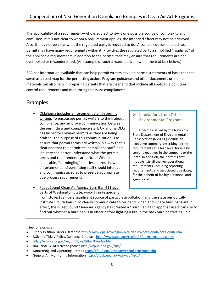The applicability of a requirement—who is subject to it—is one possible source of complexity and confusion. If it is not clear to whom a requirement applies, the intended effect may not be achieved. Also, it may not be clear what the regulated party is required to do. A complex document such as a permit may have many requirements within it. Providing the regulated party a simplified "roadmap" of the applicable requirements in addition to the permit itself may ensure that requirements are not overlooked or misunderstood. (An example of such a roadmap is shown in the text box below.)

 EPA has information available that can help permit writers develop permit statements of basis that can serve as a road map for the permitting action. Program guidance and other documents or online materials can also help in preparing permits that are clear and that include all applicable pollution control requirements and monitoring to assure compliance.<sup>2</sup>

# Examples

- Oklahoma includes enforcement staff in permit  $\longrightarrow$  Innovations from Other writing. To encourage permit writers to think about Environmental Programs: compliance, and improve communication between compliance, and improve communication between the permitting and compliance staff, Oklahoma DEQ has inspectors review permits as they are being State Department of Environmental drafted. The purpose of this communication is to  $\Box$  Conservation (NYSDEC) include an ensure that permit terms are written in a way that is  $\frac{1}{2}$  executive summary describing permit clear and that the permittee, compliance staff, and  $\Box$  requirements at a high level for use by industry can better understand what the permit senior executives in the company or the terms and requirements are. (Note: Where State. In addition, the permit's first applicable, "co-mingling" policies address how how module lists all the key operational enforcement and permitting staff should interact requirements, including reporting requirements and associated due dates, and communicate, so as to preserve appropriate for the benefit of facility personnel and due process requirements). due process requirements).
- Puget Sound Clean Air Agency Burn Ban 411 app: In parts of Washington State, wood fires (especially

#### > Innovations from Other **Environmental Programs:**

**RCRA permits issued by the New York State Department of Environmental** Conservation (NYSDEC) include an executive summary describing permit requirements at a high level for use by senior executives in the company or the State. In addition, the permit's first module lists all the key operational requirements, including reporting requirements and associated due dates, for the benefit of facility personnel and

 from stoves) can be a significant source of particulate pollution, and the state periodically institutes "burn bans." To clearly communicate to residents when and where burn bans are in effect, the Puget Sound Clean Air Agency has created a "Burn Ban 411" app that users can use to find out whether a burn ban is in effect before lighting a fire in the back yard or starting up a

<sup>2</sup> See for example:

Title V Petition Orders Database http://www.epa.gov/region07/air/title5/petitiondb/petitiondb.htm

<sup>•</sup> NSR and Title V Policy/Guidance Database http://www.epa.gov/region07/air/nsr/nsrindex.htm

http://www.epa.gov/region07/air/title5/t5index.htm

RACT/BACT/LAER clearinghouse http://cfpub.epa.gov/rblc/

<sup>•</sup> Monitoring and Operating Permits http://cfpub.epa.gov/oarweb/mkb/permits.cfm

General Air Monitoring Information http://cfpub.epa.gov/oarweb/mkb/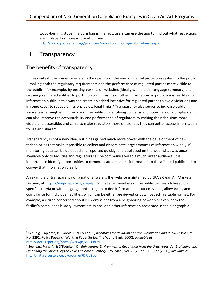wood-burning stove. If a burn ban is in effect, users can use the app to find out what restrictions are in place. For more information, see http://www.pscleanair.org/priorities/woodheating/Pages/burnbans.aspx.

# II. Transparency

# The benefits of transparency

 In this context, transparency refers to the opening of the environmental protection system to the public ‐‐ making both the regulatory requirements and the performance of regulated parties more visible to the public – for example, by posting permits on websites (ideally with a plain language summary) and requiring regulated entities to post monitoring results or other information on public websites. Making information public in this way can create an added incentive for regulated parties to avoid violations and in some cases to reduce emissions below legal limits.<sup>3</sup> Transparency also serves to increase public awareness, strengthening the role of the public in identifying concerns and potential non‐compliance. It can also improve the accountability and performance of regulators by making their decisions more visible and accessible, and can also make regulators more efficient as they can better access information to use and share.<sup>4</sup>

 Transparency is not a new idea, but it has gained much more power with the development of new technologies that make it possible to collect and disseminate large amounts of information widely. If monitoring data can be uploaded and reported quickly, and publicized on the web, what was once available only to facilities and regulators can be communicated to a much larger audience. It is important to identify opportunities to communicate emissions information to the affected public and to convey that information clearly.

 An example of transparency on a national scale is the website maintained by EPA's Clean Air Markets Division, at https://ampd.epa.gov/ampd/. On that site, members of the public can search based on specific criteria or within a geographical region to find information about emissions, allowances, and compliance for individual facilities, which can be either previewed or downloaded in a table format. For example, a citizen concerned about NOx emissions from a neighboring power plant can learn the facility's compliance history, current emissions, and other information presented in table or graphic

  <sup>3</sup> See, e.g., Laplante, B., Lanoie, P. & Foulon, J., *Incentives for Pollution Control ‐ Regulation and Public Disclosure*, No. 2291, Policy Research Working Paper Series, The World Bank (2000), *available at* http://ideas.repec.org/p/wbk/wbrwps/2291.html.

  <sup>4</sup> See, e.g., Fung, A. & O'Rourken, D., *Reinventing Environmental Regulation from the Grassroots Up: Explaining and* Expanding the Success of the Toxics Release Inventory, Env. Man., Vol. 25(2), pp. 115-127 (2000), available at http://nature.berkeley.edu/orourke/PDF/tri.pdf.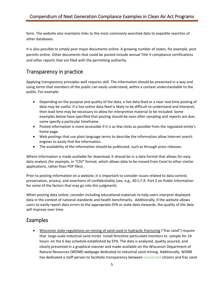form. The website also maintains links to the most commonly searched data to expedite searches of other databases.

 It is also possible to simply post major documents online. A growing number of states, for example, post permits online. Other documents that could be posted include annual Title V compliance certifications and other reports that are filed with the permitting authority.

#### Transparency in practice

 Applying transparency principles well requires skill. The information should be presented in a way and using terms that members of the public can easily understand, within a context understandable to the public. For example:

- Depending on the purpose and quality of the data, a live data feed or a near real-time posting of data may be useful. If a live online data feed is likely to be difficult to understand and interpret, then lead time may be necessary to allow for interpretive material to be included. Some examples below have specified that posting should be soon after sampling and reports are due; some specify a particular timeframe.
- Posted information is more accessible if it is as few clicks as possible from the regulated entity's home page.
- Web postings that use plain language terms to describe the information allow Internet search engines to easily find the information.
- The availability of the information should be publicized, such as through press releases.

 Where information is made available for download, it should be in a data format that allows for easy data analysis (for example, in "CSV" format, which allows data to be moved from Excel to other similar applications, rather than PDF files).

 Prior to posting information on a website, it is important to consider issues related to data control, preservation, privacy, and assertions of confidentiality (see, e.g., 40 C.F.R. Part 2 on Public Information for some of the factors that may go into this judgment).

 When posting data online, consider including educational materials to help users interpret displayed data in the context of national standards and health benchmarks. Additionally, if the website allows users to easily report data errors to the appropriate EPA or state data stewards, the quality of the data will improve over time.

# Examples

• Wisconsin state regulations on mining of sand used in hydraulic fracturing ("frac sand") require that large‐scale industrial sand mines install fenceline particulate monitors to sample for 24 hours on the 6 day schedule established by EPA. The data is analyzed, quality assured, and clearly presented in a graphical manner and made available on the Wisconsin Department of Natural Resources (WDNR) webpage dedicated to industrial sand mining. Additionally, WDNR has dedicated a staff person to facilitate transparency between concerned citizens and frac sand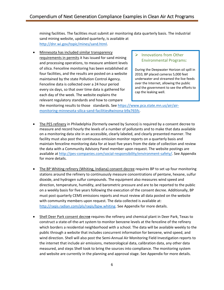mining facilities. The facilities must submit air monitoring data quarterly basis. The industrial sand mining website, updated quarterly, is available at http://dnr.wi.gov/topic/mines/sand.html.

Minnesota has included similar transparency requirements in permits it has issued for sand mining • Minnesota has included similar transparency<br>
requirements in permits it has issued for sand mining and processing operations, to measure ambient levels Environmental Programs: of silica. Fenceline monitoring has been established at **During the Deepwater Horizon oil spill in** four facilities, and the results are posted on a website  $\parallel$  2010, BP placed cameras 5,000 feet maintained by the state Pollution Control Agency. The underwater and streamed the live feeds Fenceline data is collected over a 24 hour period  $\Box$  over the Internet, allowing the public every six days, so that over time data is gathered for each day of the week. The website explains the relevant regulatory standards and how to compare

#### $\triangleright$  Innovations from Other **Environmental Programs:**

During the Deepwater Horizon oil spill in 2010, BP placed cameras 5,000 feet underwater and streamed the live feeds over the Internet, allowing the public and the government to see the efforts to cap the leaking well.

the monitoring results to those standards. See https://www.pca.state.mn.us/air/airmonitoring‐minnesota‐silica‐sand‐facilities#winona‐b9a765fc.

- The PES refinery in Philadelphia (formerly owned by Sunoco) is required by a consent decree to measure and record hourly the levels of a number of pollutants and to make that data available on a monitoring data site in an accessible, clearly labeled, and clearly presented manner. The facility must also post the continuous emission monitor reports on a quarterly basis and maintain fenceline monitoring data for at least five years from the date of collection and review the data with a Community Advisory Panel member upon request. The website postings are available at http://pes-companies.com/social-responsibility/environment-safety/. See Appendix for more details.
- The BP Whiting refinery (Whiting, Indiana) consent decree requires BP to set up four monitoring stations around the refinery to continuously measure concentrations of pentane, hexane, sulfur dioxide, and hydrogen sulfur compounds. The equipment also measures wind speed and direction, temperature, humidity, and barometric pressure and are to be reported to the public on a weekly basis for five years following the execution of the consent decree. Additionally, BP must post quarterly CEMS emissions reports and must review all data posted on the website with community members upon request. The data collected is available at: http://raqis.radian.com/pls/raqis/bpw.whiting. See Appendix for more details.
- Shell Deer Park consent decre**e** requires the refinery and chemical plant in Deer Park, Texas to construct a state‐of‐the‐art system to monitor benzene levels at the fenceline of the refinery which borders a residential neighborhood with a school. The data will be available weekly to the public through a website that includes concurrent information for benzene, wind speed, and wind direction. Shell will also post the Semi‐Annual Air Monitoring Field Investigation reports to the internet that include air emissions, meteorological data, calibration data, any other data measured, and steps Shell took to bring the sources into compliance. The monitoring system and website are currently in the planning and approval stage. See Appendix for more details.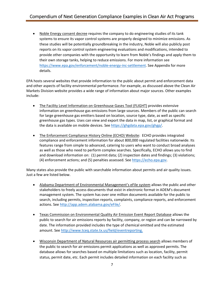• Noble Energy consent decree requires the company to do engineering studies of its tank systems to ensure its vapor control systems are properly designed to minimize emissions. As these studies will be potentially groundbreaking in the industry, Noble will also publicly post reports on its vapor control system engineering evaluations and modifications, intended to provide other companies with the opportunity to learn from Noble's findings and apply them to their own storage tanks, helping to reduce emissions. For more information see https://www.epa.gov/enforcement/noble-energy-inc-settlement. See Appendix for more details.

 EPA hosts several websites that provide information to the public about permit and enforcement data and other aspects of facility environmental performance. For example, as discussed above the Clean Air Markets Division website provides a wide range of information about major sources. Other examples include:

- The Facility Level Information on Greenhouse Gases Tool (FLIGHT) provides extensive information on greenhouse gas emissions from large sources. Members of the public can search for large greenhouse gas emitters based on location, source type, date, as well as specific greenhouse gas types. Uses can view and export the data in map, list, or graphical format and the data is available on mobile devices. See https://ghgdata.epa.gov/ghgp/.
- The Enforcement Compliance History Online (ECHO) Website: ECHO provides integrated compliance and enforcement information for about 800,000 regulated facilities nationwide. Its features range from simple to advanced, catering to users who want to conduct broad analyses as well as those who need to perform complex searches. Specifically, ECHO allows you to find and download information on: (1) permit data; (2) inspection dates and findings; (3) violations; (4) enforcement actions; and (5) penalties assessed. See https://echo.epa.gov.

 Many states also provide the public with searchable information about permits and air quality issues. Just a few are listed below.

- Alabama Department of Environmental Management's eFile system allows the public and other stakeholders to freely access documents that exist in electronic format in ADEM's document management system. The system has over one million documents available for the public to search, including permits, inspection reports, complaints, compliance reports, and enforcement actions. See http://app.adem.alabama.gov/eFile/.
- **Texas Commission on Environmental Quality Air Emission Event Report Database allows the**  public to search for air emissions reports by facility, company, or region and can be narrowed by date. The information provided includes the type of chemical emitted and the estimated amount. See http://www.tceq.state.tx.us/field/eventreporting.
- Wisconsin Department of Natural Resources air permitting process search allows members of the public to search for air emissions permit applications as well as approved permits. The database allows for searches based on multiple limitations such as location, facility, permit status, permit date, etc. Each permit includes detailed information on each facility such as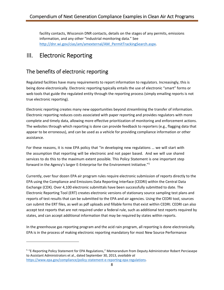facility contacts, Wisconsin DNR contacts, details on the stages of any permits, emissions information, and any other "industrial monitoring data." See http://dnr.wi.gov/cias/am/amexternal/AM\_PermitTrackingSearch.aspx.

# III. Electronic Reporting

# The benefits of electronic reporting

 Regulated facilities have many requirements to report information to regulators. Increasingly, this is being done electronically. Electronic reporting typically entails the use of electronic "smart" forms or web tools that guide the regulated entity through the reporting process (simply emailing reports is not true electronic reporting).

 Electronic reporting creates many new opportunities beyond streamlining the transfer of information. Electronic reporting reduces costs associated with paper reporting and provides regulators with more complete and timely data, allowing more effective prioritization of monitoring and enforcement actions. The websites through which reporting is done can provide feedback to reporters (e.g., flagging data that appear to be erroneous), and can be used as a vehicle for providing compliance information or other assistance.

 For these reasons, it is now EPA policy that "in developing new regulations … we will start with the assumption that reporting will be electronic and not paper based. And we will use shared services to do this to the maximum extent possible. This Policy Statement is one important step forward in the Agency's larger E-Enterprise for the Environment Initiative."<sup>5</sup>

 Currently, over four dozen EPA air program rules require electronic submission of reports directly to the EPA using the Compliance and Emissions Data Reporting Interface (CEDRI) within the Central Data Exchange (CDX). Over 4,100 electronic submittals have been successfully submitted to date. The Electronic Reporting Tool (ERT) creates electronic versions of stationary source sampling test plans and reports of test results that can be submitted to the EPA and air agencies. Using the CEDRI tool, sources can submit the ERT files, as well as pdf uploads and fillable forms that exist within CEDRI. CEDRI can also accept test reports that are not required under a federal rule, such as additional test reports required by states, and can accept additional information that may be required by states within reports.

 In the greenhouse gas reporting program and the acid rain program, all reporting is done electronically. EPA is in the process of making electronic reporting mandatory for most New Source Performance

<sup>&</sup>lt;sup>5</sup> "E-Reporting Policy Statement for EPA Regulations," Memorandum from Deputy Administrator Robert Perciasepe to Assistant Administrators et al., dated September 30, 2013, *available at* https://www.epa.gov/compliance/policy‐statement‐e‐reporting‐epa‐regulations.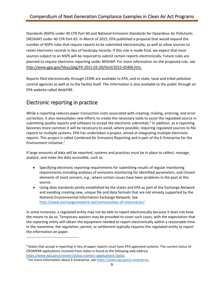Standards (NSPS) under 40 CFR Part 60 and National Emissions Standards for Hazardous Air Pollutants (NESHAP) under 40 CFR Part 63. In March of 2015, EPA published a proposal that would expand the number of NSPS rules that require reports to be submitted electronically, as well as allow sources to retain electronic records in lieu of hardcopy records. If this rule is made final, we expect that most sources subject to an NSPS will be required to submit certain reports electronically. Future rules are planned to require electronic reporting under NESHAP. For more information on the proposed rule, see http://www.gpo.gov/fdsys/pkg/FR‐2015‐03‐20/html/2015‐05406.htm.

 Reports filed electronically through CEDRI are available to EPA, and to state, local and tribal pollution control agencies as well as to the facility itself. The information is also available to the public through an EPA website called WebFIRE.

# Electronic reporting in practice

 While e‐reporting reduces paper transaction costs associated with creating, mailing, entering, and error correction, it also necessitates new efforts to create the necessary tools to assist the regulated source in submitting quality reports and software to accept the electronic submittals.<sup>6</sup> In addition, as e-reporting becomes more common it will be necessary to avoid, where possible, requiring regulated sources to file reports to multiple systems. EPA has undertaken a project, aimed at integrating multiple electronic reports. This project is called Combined Air Emissions Reporting and is part of the E‐Enterprise for the Environment initiative.7

 If large amounts of data will be reported, systems and practices must be in place to collect, manage, analyze, and make the data accessible, such as:

- Specifying electronic reporting requirements for submitting results of regular monitoring requirements including analyses of emissions monitoring for identified parameters, and chosen elements of most concern, e.g., where certain issues have been problems in the past at this source.
- Using data standards jointly established by the states and EPA as part of the Exchange Network and avoiding creating new, unique file and data formats that are not already supported by the National Environmental Information Exchange Network. See http://www.exchangenetwork.net/communities‐of‐interest/air/.

 In some instances, a regulated entity may not be able to report electronically because it does not have the means to do so. Temporary waivers may be provided to cover such cases, with the expectation that the reporting entity will obtain the equipment needed to report electronically within a reasonable time. In the meantime, the regulation, permit, or settlement typically requires the regulated entity to report the information on paper.

 $^6$  States that accept e-reporting in lieu of paper reports must have EPA approved systems. The current status of CROMERR applications received from states is found at the following web address https://www.epa.gov/cromerr/status‐cromerr‐applications‐states.

<sup>&</sup>lt;sup>7</sup> For more information about E-Enterprise, see https://www.epa.gov/e-enterprise.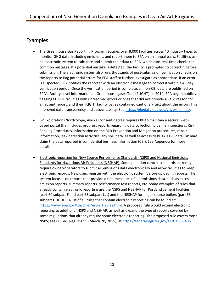#### Examples

- The Greenhouse Gas Reporting Program requires over 8,000 facilities across 40 industry types to monitor GHG data, including emissions, and report them to EPA on an annual basis. Facilities use an electronic system to calculate and submit their data to EPA, which runs real‐time checks for common mistakes. If a potential mistake is detected, the facility is prompted to correct it before submission. The electronic system also runs thousands of post-submission verification checks on the reports to flag potential errors for EPA staff to further investigate as appropriate. If an error is suspected, EPA notifies the reporter with an electronic message to correct it within a 45‐day verification period. Once the verification period is complete, all non‐CBI data are published on EPA's Facility Level Information on Greenhouse gases Tool (FLIGHT). In 2014, EPA began publicly flagging FLIGHT facilities with unresolved errors or ones that did not provide a valid reason for an absent report, and their FLIGHT facility pages contained cautionary text about the errors. This improved data transparency and accountability. See https://ghgdata.epa.gov/ghgp/main.do.
- BP Exploration (North Slope, Alaska) consent decree requires BP to maintain a secure, web- based portal that includes progress reports regarding data collection, pipeline inspections, Risk Ranking Procedures, information on the Risk Prevention and Mitigation procedures, repair information, leak detection activities, any spill data, as well as access to BPXA's GIS data. BP may claim the data reported is confidential business information (CBI). See Appendix for more details.
- **Electronic reporting for New Source Performance Standards (NSPS) and National Emissions**  Standards for Hazardous Air Pollutants (NESHAP). Some pollution control standards currently require owner/operators to submit air emissions data electronically and allow facilities to keep electronic records. New users register with the electronic system before uploading reports. The system focuses on reports that provide direct measures of air emissions data, such as excess emission reports, summary reports, performance test reports, etc. Some examples of rules that already contain electronic reporting are the NSPS and NESHAP for Portland cement facilities (part 60 subpart F and part 63 subpart LLL) and the NESHAP for major source boilers (part 63 subpart DDDDD). A list of all rules that contain electronic reporting can be found at: https://www.epa.gov/ttn/chief/ert/ert\_rules.html</u>. A proposed rule would extend electronic reporting to additional NSPS and NESHAP, as well as expand the type of reports covered by some regulations that already require some electronic reporting. The proposed rule covers most NSPS; see 80 Fed. Reg. 15099 (March 20, 2015), at https://federalregister.gov/a/2015-05406.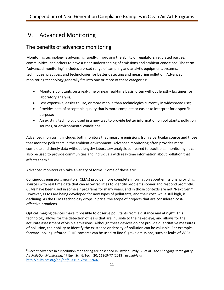# IV. Advanced Monitoring

# The benefits of advanced monitoring

 Monitoring technology is advancing rapidly, improving the ability of regulators, regulated parties, communities, and others to have a clear understanding of emissions and ambient conditions. The term "advanced monitoring" includes a broad range of sampling and analytic equipment, systems, techniques, practices, and technologies for better detecting and measuring pollution. Advanced monitoring technology generally fits into one or more of these categories:

- Monitors pollutants on a real-time or near real-time basis, often without lengthy lag times for laboratory analysis;
- Less expensive, easier to use, or more mobile than technologies currently in widespread use;
- Provides data of acceptable quality that is more complete or easier to interpret for a specific purpose;
- An existing technology used in a new way to provide better information on pollutants, pollution sources, or environmental conditions.

 Advanced monitoring includes both monitors that measure emissions from a particular source and those that monitor pollutants in the ambient environment. Advanced monitoring often provides more complete and timely data without lengthy laboratory analysis compared to traditional monitoring. It can also be used to provide communities and individuals with real‐time information about pollution that affects them.<sup>8</sup>

Advanced monitors can take a variety of forms. Some of these are:

 Continuous emissions monitors (CEMs) provide more complete information about emissions, providing sources with real time data that can allow facilities to identify problems sooner and respond promptly. CEMs have been used in some air programs for many years, and in those contexts are not "Next Gen." However, CEMs are being developed for new types of pollutants, and their cost, while still high, is declining. As the CEMs technology drops in price, the scope of projects that are considered cost‐ effective broadens.

 Optical imaging devices make it possible to observe pollutants from a distance and at night. This technology allows for the detection of leaks that are invisible to the naked eye, and allows for the accurate assessment of visible emissions. Although these devices do not provide quantitative measures of pollution, their ability to identify the existence or density of pollution can be valuable. For example, forward‐looking infrared (FLIR) cameras can be used to find fugitive emissions, such as leaks of VOCs

  <sup>8</sup> Recent advances in air pollution monitoring are described in Snyder, Emily G., et al., *The Changing Paradigm of Air Pollution Monitoring*, 47 Env. Sci. & Tech. 20, 11369‐77 (2013), *available at* http://pubs.acs.org/doi/pdf/10.1021/es4022602.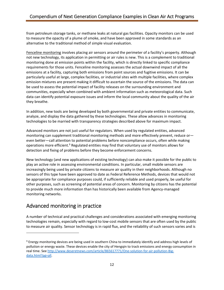from petroleum storage tanks, or methane leaks at natural gas facilities. Opacity monitors can be used to measure the opacity of a plume of smoke, and have been approved in some standards as an alternative to the traditional method of simple visual evaluation.

Fenceline monitoring involves placing air sensors around the perimeter of a facility's property. Although not new technology, its application in permitting or air rules is new. This is a complement to traditional monitoring done at emission points within the facility, which is directly linked to specific compliance requirements for those units. Fenceline monitoring assesses the actual downwind impact of all the emissions at a facility, capturing both emissions from point sources and fugitive emissions. It can be particularly useful at large, complex facilities, or industrial sites with multiple facilities, where complex emission mixtures are present making it difficult to ascertain the source of the emissions. The data can be used to assess the potential impact of facility releases on the surrounding environment and communities, especially when combined with ambient information such as meteorological data. Such data can identify potential exposure issues and inform the local community about the quality of the air they breathe.

 In addition, new tools are being developed by both governmental and private entities to communicate, analyze, and display the data gathered by these technologies. These allow advances in monitoring technologies to be married with transparency strategies described above for maximum impact.

 Advanced monitors are not just useful for regulators. When used by regulated entities, advanced monitoring can supplement traditional monitoring methods and more effectively prevent, reduce or— even better—call attention to potential problems before noncompliance occurs, often while making operations more efficient.<sup>9</sup> Regulated entities may find that voluntary use of monitors allows for detection and fixing of problems before they become enforcement concerns.

 New technology (and new applications of existing technology) can also make it possible for the public to play an active role in assessing environmental conditions. In particular, small mobile sensors are increasingly being used by private citizens to measure air quality in their neighborhoods. Although no sensors of this type have been approved to date as Federal Reference Methods, devices that would not be appropriate for compliance purposes could, if sufficiently reliable and used properly, be useful for other purposes, such as screening of potential areas of concern. Monitoring by citizens has the potential to provide much more information than has historically been available from Agency‐managed monitoring networks.

# Advanced monitoring in practice

 A number of technical and practical challenges and considerations associated with emerging monitoring technologies remain, especially with regard to low‐cost mobile sensors that are often used by the public to measure air quality. Sensor technology is in rapid flux, and the reliability of such sensors varies and is

 $9$  Energy monitoring devices are being used in southern China to immediately identify and address high levels of pollution or energy waste. These devices enable the city of Hengqin to track emissions and energy consumption in real time. See http://www.deseretnews.com/article/865617771/One-solution-for-air-pollution-Big-data.html?pg=all.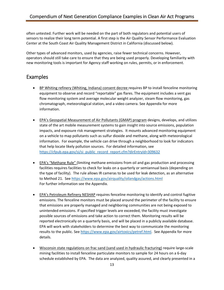often untested. Further work will be needed on the part of both regulators and potential users of sensors to realize their long term potential. A first step is the Air Quality Sensor Performance Evaluation Center at the South Coast Air Quality Management District in California (discussed below).

 Other types of advanced monitors, used by agencies, raise fewer technical concerns. However, operators should still take care to ensure that they are being used properly. Developing familiarity with new monitoring tools is important for Agency staff working on rules, permits, or in enforcement.

#### Examples

- BP Whiting refinery (Whiting, Indiana) consent decree requires BP to install fenceline monitoring equipment to observe and record "reportable" gas flares. The equipment includes a vent gas flow monitoring system and average molecular weight analyzer, steam flow monitoring, gas chromatograph, meteorological station, and a video camera. See Appendix for more information.
- EPA's Geospatial Measurement of Air Pollutants (GMAP) program designs, develops, and utilizes state of the art mobile measurement systems to gain insight into source emissions, population impacts, and exposure risk management strategies. It mounts advanced monitoring equipment on a vehicle to map pollutants such as sulfur dioxide and methane, along with meteorological information. For example, the vehicle can drive through a neighborhood to look for indicators that help locate likely pollution sources. For detailed information, see https://cfpub.epa.gov/si/si\_public\_record\_report.cfm?dirEntryId=309632
- EPA's "Methane Rule" (limiting methane emissions from oil and gas production and processing facilities requires facilities to check for leaks on a quarterly or semiannual basis (depending on the type of facility). The rule allows IR cameras to be used for leak detection, as an alternative to Method 21. See https://www.epa.gov/airquality/oilandgas/actions.html For further information see the Appendix.
- EPA's Petroleum Refinery NESHAP requires fenceline monitoring to identify and control fugitive emissions. The fenceline monitors must be placed around the perimeter of the facility to ensure that emissions are properly managed and neighboring communities are not being exposed to unintended emissions. If specified trigger levels are exceeded, the facility must investigate possible sources of emissions and take action to correct them. Monitoring results will be reported electronically on a quarterly basis, and will be placed in a publicly available database. EPA will work with stakeholders to determine the best way to communicate the monitoring results to the public. See <u>https://www.epa.gov/airtoxics/petref.html</u>. See Appendix for more details.
- Wisconsin state regulations on frac sand (sand used in hydraulic fracturing) require large-scale mining facilities to install fenceline particulate monitors to sample for 24 hours on a 6‐day schedule established by EPA. The data are analyzed, quality assured, and clearly presented in a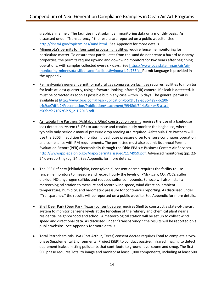graphical manner. The facilities must submit air monitoring data on a monthly basis. As discussed under "Transparency," the results are reported on a public website. See http://dnr.wi.gov/topic/mines/sand.html. See Appendix for more details.

- Minnesota's permits for four sand processing facilities require fenceline monitoring for particulate matter. To ensure that particulates from the sand do not create a hazard to nearby properties, the permits require upwind and downwind monitors for two years after beginning operations, with samples collected every six days. See https://www.pca.state.mn.us/air/airmonitoring-minnesota-silica-sand-facilities#winona-b9a765fc. Permit language is provided in the Appendix.
- Pennsylvania's general permit for natural gas compression facilities requires facilities to monitor for leaks at least quarterly, using a forward‐looking infrared (IR) camera. If a leak is detected, it must be corrected as soon as possible but in any case within 15 days. The general permit is available at http://www.bipc.com/files/Publication/bcd1f612-ac8c-4e97-b290c4c9ae7dffd2/Presentation/PublicationAttachment/9948db7f‐4a5c‐4e45‐a1a1‐ c50fc2fe7107/GP‐5\_2‐1‐2013.pdf.
- Ashtabula Tire Partners (Ashtabula, Ohio) construction permit requires the use of a baghouse leak detection system (BLDS) to automate and continuously monitor the baghouse, where typically only periodic manual pressure drop reading are required. Ashtabula Tire Partners will use the BLDS in addition to monitoring baghouse pressure drop to ensure continuous operation and compliance with PM requirements. The permittee must also submit its annual Permit Evaluation Report (PER) electronically through the Ohio EPA's e‐Business Center: Air Services. http://wwwapp.epa.ohio.gov/dapc/permits\_issued/1174959.pdf. Advanced monitoring (pp. 22-24); e‐reporting (pg. 24). See Appendix for more details.
- The PES Refinery (Philadelphia, Pennsylvania) consent decree requires the facility to use fenceline monitors to measure and record hourly the levels of PM<sub>2.5 and 10</sub>, CO, VOCs, sulfur dioxide, NOx, hydrogen sulfide, and reduced sulfur compounds. Sunoco will also install a meteorological station to measure and record wind speed, wind direction, ambient temperature, humidity, and barometric pressure for continuous reporting. As discussed under "Transparency," the results will be reported on a public website. See Appendix for more details.
- Shell Deer Park (Deer Park, Texas) consent decree requires Shell to construct a state-of-the-art system to monitor benzene levels at the fenceline of the refinery and chemical plant near a residential neighborhood and school. A meteorological station will be set up to collect wind speed and directional data. As discussed under "Transparency," the results will be reported on a public website. See Appendix for more details.
- Total Petrochemicals USA (Port Arthur, Texas) consent decree requires Total to complete a two- phase Supplemental Environmental Project (SEP) to conduct passive, infrared imaging to detect equipment leaks emitting pollutants that contribute to ground‐level ozone and smog. The first SEP phase requires Total to image and monitor at least 1,000 components, including at least 500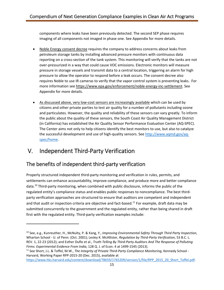components where leaks have been previously detected. The second SEP phase requires imaging of all components not imaged in phase one. See Appendix for more details.

- Noble Energy consent decree requires the company to address concerns about leaks from petroleum storage tanks by installing advanced pressure monitors with continuous data reporting on a cross‐section of the tank system. This monitoring will verify that the tanks are not over‐pressurized in a way that could cause VOC emissions. Electronic monitors will measure pressure in storage vessels and transmit data to a central location, triggering an alarm for high pressure to allow the operator to respond before a leak occurs. The consent decree also requires Noble to use IR cameras to verify that the vapor control system is preventing leaks. For more information see https://www.epa.gov/enforcement/noble-energy-inc-settlement. See Appendix for more details.
- As discussed above, very low-cost sensors are increasingly available which can be used by citizens and other private parties to test air quality for a number of pollutants including ozone and particulates. However, the quality and reliability of these sensors can vary greatly. To inform the public about the quality of these sensors, the South Coast Air Quality Management District (in California) has established the Air Quality Sensor Performance Evaluation Center (AQ‐SPEC). The Center aims not only to help citizens identify the best monitors to use, but also to catalyze the successful development and use of high-quality sensors. See http://www.aqmd.gov/aq-spec/home.

# V. Independent Third‐Party Verification

# The benefits of independent third‐party verification

 Properly structured independent third‐party monitoring and verification in rules, permits, and settlements can enhance accountability, improve compliance, and produce more and better compliance data.<sup>10</sup> Third-party monitoring, when combined with public disclosure, informs the public of the regulated entity's compliance status and enables public responses to noncompliance. The best third‐ party verification approaches are structured to ensure that auditors are competent and independent and that audit or inspection criteria are objective and fact-based.<sup>11</sup> For example, draft data may be submitted concurrently to the government and the regulated entity, rather than being shared in draft first with the regulated entity. Third‐party verification examples include:

  <sup>10</sup> See, e.g., Kunreuther, H., McNulty, P. & Kang, Y., *Improving Environmental Safety Through Third Party Inspection*,  Wharton School ‐ U. of Penn. (Oct. 2001); Lesley K. McAllister, *Regulation by Third‐Party Verification*, 53 B.C. L. REV. 1, 22-23 (2012); and Esther Duflo et al., Truth-Telling By Third-Party Auditors And The Response of Polluting  *Firms: Experimental Evidence From India*, 128 Q. J. of Econ. 4 at 1499‐1545 (2013).

  <sup>11</sup> See Short, J.L. & Toffel, M.W., *The Integrity of Private Third‐Party Compliance Monitoring*, Kennedy School ‐ Harvard, Working Paper RPP‐2015‐20 (Dec. 2015), available at

 https://www.hks.harvard.edu/content/download/78659/1765209/version/1/file/RPP\_2015\_20\_Short\_Toffel.pdf.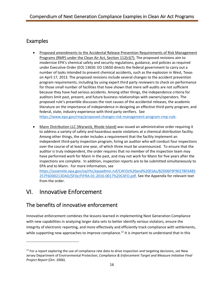#### Examples

- Proposed amendments to the Accidental Release Prevention Requirements of Risk Management Programs (RMP) under the Clean Air Act, Section 112(r)(7). The proposed revisions aim to modernize EPA's chemical safety and security regulations, guidance, and policies as required under Executive Order (EO) 13650. EO 13650 directs the federal government to carry out a number of tasks intended to prevent chemical accidents, such as the explosion in West, Texas on April 17, 2013. The proposed revisions include several changes to the accident prevention program requirements, including by using expert third party reviewers to check on performance for those small number of facilities that have shown that mere self‐audits are not sufficient because they have had serious accidents. Among other things, the independence criteria for auditors limit past, present, and future business relationships with owners/operators. The proposed rule's preamble discusses the root causes of the accidental releases, the academic literature on the importance of independence in designing an effective third party program, and federal, state, industry experience with third party verifiers. See https://www.epa.gov/rmp/proposed‐changes‐risk‐management‐program‐rmp‐rule.
- Mann Distribution LLC (Warwick, Rhode Island) was issued an administrative order requiring it to address a variety of safety and hazardous waste violations at a chemical distribution facility. Among other things, the order includes a requirement that the facility implement an independent third‐party inspection program, hiring an auditor who will conduct four inspections over the course of at least one year, of which three must be unannounced. To ensure that the auditor is truly independent, the order requires that no member of the inspection team may have performed work for Mann in the past, and may not work for Mann for five years after the inspections are complete. In addition, inspection reports are to be submitted simultaneously to EPA and to Mann. For more information, see

 257F6D00213DAD/\$File/FIFRA‐01‐2016‐0017%20CAFO.pdf. See the Appendix for relevant text from the order. https://yosemite.epa.gov/oa/rhc/epaadmin.nsf/CAFOs%20and%20ESAs/B2D06F9F9027BF6485

# VI. Innovative Enforcement

# The benefits of innovative enforcement

 Innovative enforcement combines the lessons learned in implementing Next Generation Compliance with new capabilities in analyzing larger data sets to better identify serious violators, ensure the integrity of electronic reporting, and more effectively and efficiently track compliance with settlements, while supporting new approaches to improve compliance.<sup>12</sup> It is important to understand that in this

 <sup>12</sup> For a report exploring the use of compliance rate data to drive inspection and targeting decisions, *see* New  Jersey Department of Environmental Protection, *Compliance & Enforcement Target and Measure Initiative Final Project Report* (Oct. 2006).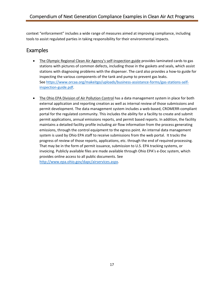context "enforcement" includes a wide range of measures aimed at improving compliance, including tools to assist regulated parties in taking responsibility for their environmental impacts.

### Examples

- The Olympic Regional Clean Air Agency's self-inspection guide provides laminated cards to gas stations with pictures of common defects, including those in the gaskets and seals, which assist inspecting the various components of the tank and pump to prevent gas leaks. stations with diagnosing problems with the dispenser. The card also provides a how‐to guide for See https://www.orcaa.org/makeitgo/uploads/business-assistance-forms/gas-stations-selfinspection‐guide.pdf.
- The Ohio EPA Division of Air Pollution Control has a data management system in place for both external application and reporting creation as well as internal review of those submissions and permit development. The data management system includes a web‐based, CROMERR‐compliant portal for the regulated community. This includes the ability for a facility to create and submit permit applications, annual emissions reports, and permit based reports. In addition, the facility maintains a detailed facility profile including air flow information from the process generating emissions, through the control equipment to the egress point. An internal data management system is used by Ohio EPA staff to receive submissions from the web portal. It tracks the progress of review of those reports, applications, etc. through the end of required processing. That may be in the form of permit issuance, submission to U.S. EPA tracking systems, or invoicing. Publicly available files are made available through Ohio EPA's e‐Doc system, which provides online access to all public documents. See http://www.epa.ohio.gov/dapc/airservices.aspx.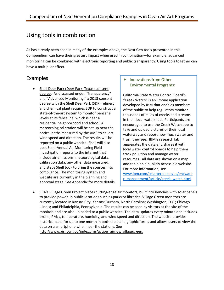# Using tools in combination

 As has already been seen in many of the examples above, the Next Gen tools presented in this Compendium can have their greatest impact when used in combination—for example, advanced monitoring can be combined with electronic reporting and public transparency. Using tools together can have a multiplier effect.

• Shell Deer Park (Deer Park, Texas) consent **Environmental Programs**: decree: As discussed under "Transparency" and "Advanced Monitoring," a 2013 consent "Creek Watch" is an iPhone application<br>decree with the Shell Deer Park (SDP) refinery developed by IBM that enables members decree with the Shell Deer Park (SDP) refinery and chemical plant requires SDP to construct  $a \cdot b$  of the public to help regulators monitor state-of-the-art system to monitor benzene levels at its fenceline, which is near a residential neighborhood and school. A meteorological station will be set up near the  $\frac{1}{\sqrt{1-\frac{1}{n}}}$  take and upload pictures of their local optical paths measured by the AMS to collect waterway and report how much water and wind speed and direction. The results will be  $t$  trash they see. IBM's research lab reported on a public website. Shell will also aggregates the data and shares it with post Semi-Annual Air Monitoring Field Investigation reports to the internet that track pollution and manage water include air emissions, meteorological data, calibration data, any other data measured, and steps Shell took to bring the sources into  $\overline{\phantom{a}}$  For more information, see compliance. The monitoring system and website are currently in the planning and compliance. The monitoring system and www.ibm.com/smarterplanet/us/en/wate website are currently in the planning and ramagement/article/creek\_watch.html approval stage. See Appendix for more details. state-of-the-art system to monitor benzene thousands of miles of creeks and streams levels at its fenceline, which is near a in their local watershed. Participants are residential neighborhood and school. A encouraged to use the Creek Watch app to post Semi-Annual Air Monitoring Field local water control boards to help them include air emissions, meteorological data,<br>calibration data, any other data measured, and table on a publicly accessible website.

#### Examples **Innovations** from Other **Environmental Programs:**

 California State Water Control Board's "Creek Watch" is an iPhone application developed by IBM that enables members of the public to help regulators monitor take and upload pictures of their local waterway and report how much water and trash they see. IBM's research lab aggregates the data and shares it with track pollution and manage water and table on a publicly accessible website. For more information, see

■ EPA's Village Green Project places cutting-edge air monitors, built into benches with solar panels to provide power, in public locations such as parks or libraries. Village Green monitors are currently located in Kansas City, Kansas; Durham, North Carolina; Washington, D.C.; Chicago, Illinois; and Philadelphia, Pennsylvania. The results can be seen by visitors at the site of the monitor, and are also uploaded to a public website. The data updates every minute and includes ozone, PM2.5, temperature, humidity, and wind speed and direction. The website provides historical data for up to one month in both table and graphic forms and allows users to view the data on a smartphone when near the stations. See

http://www.airnow.gov/index.cfm?action=airnow.villagegreen.